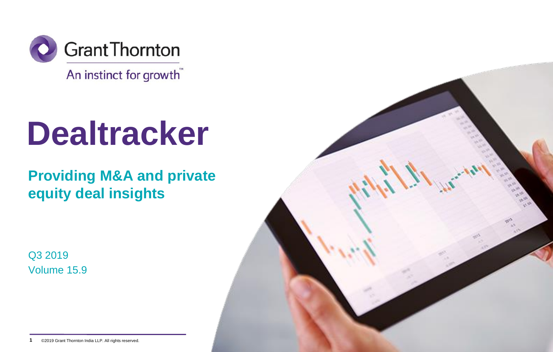

An instinct for growth"

# **Dealtracker**

**Providing M&A and private equity deal insights**

Q3 2019 Volume 15.9



**1** ©2019 Grant Thornton India LLP. All rights reserved. ©2019 Grant Thornton India LLP. All rights reserved.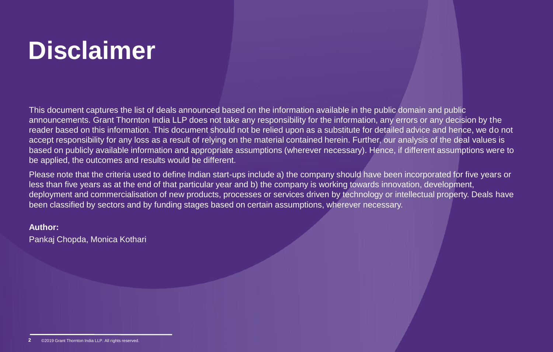# **Disclaimer**

This document captures the list of deals announced based on the information available in the public domain and public announcements. Grant Thornton India LLP does not take any responsibility for the information, any errors or any decision by the reader based on this information. This document should not be relied upon as a substitute for detailed advice and hence, we do not accept responsibility for any loss as a result of relying on the material contained herein. Further, our analysis of the deal values is based on publicly available information and appropriate assumptions (wherever necessary). Hence, if different assumptions were to be applied, the outcomes and results would be different.

Please note that the criteria used to define Indian start-ups include a) the company should have been incorporated for five years or less than five years as at the end of that particular year and b) the company is working towards innovation, development, deployment and commercialisation of new products, processes or services driven by technology or intellectual property. Deals have been classified by sectors and by funding stages based on certain assumptions, wherever necessary.

## **Author:**

Pankaj Chopda, Monica Kothari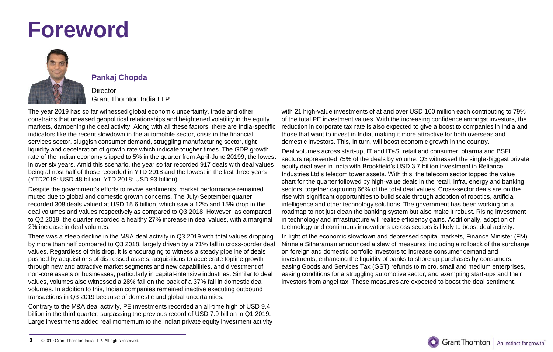# **Foreword**



### **Pankaj Chopda**

### **Director** Grant Thornton India LLP

The year 2019 has so far witnessed global economic uncertainty, trade and other constrains that uneased geopolitical relationships and heightened volatility in the equity markets, dampening the deal activity. Along with all these factors, there are India-specific indicators like the recent slowdown in the automobile sector, crisis in the financial services sector, sluggish consumer demand, struggling manufacturing sector, tight liquidity and deceleration of growth rate which indicate tougher times. The GDP growth rate of the Indian economy slipped to 5% in the quarter from April-June 20199, the lowest in over six years. Amid this scenario, the year so far recorded 917 deals with deal values being almost half of those recorded in YTD 2018 and the lowest in the last three years (YTD2019: USD 48 billion, YTD 2018: USD 93 billion).

Despite the government's efforts to revive sentiments, market performance remained muted due to global and domestic growth concerns. The July-September quarter recorded 308 deals valued at USD 15.6 billion, which saw a 12% and 15% drop in the deal volumes and values respectively as compared to Q3 2018. However, as compared to Q2 2019, the quarter recorded a healthy 27% increase in deal values, with a marginal 2% increase in deal volumes.

There was a steep decline in the M&A deal activity in Q3 2019 with total values dropping by more than half compared to Q3 2018, largely driven by a 71% fall in cross-border deal values. Regardless of this drop, it is encouraging to witness a steady pipeline of deals pushed by acquisitions of distressed assets, acquisitions to accelerate topline growth through new and attractive market segments and new capabilities, and divestment of non-core assets or businesses, particularly in capital-intensive industries. Similar to deal values, volumes also witnessed a 28% fall on the back of a 37% fall in domestic deal volumes. In addition to this, Indian companies remained inactive executing outbound transactions in Q3 2019 because of domestic and global uncertainties.

Contrary to the M&A deal activity, PE investments recorded an all-time high of USD 9.4 billion in the third quarter, surpassing the previous record of USD 7.9 billion in Q1 2019. Large investments added real momentum to the Indian private equity investment activity

with 21 high-value investments of at and over USD 100 million each contributing to 79% of the total PE investment values. With the increasing confidence amongst investors, the reduction in corporate tax rate is also expected to give a boost to companies in India and those that want to invest in India, making it more attractive for both overseas and domestic investors. This, in turn, will boost economic growth in the country.

Deal volumes across start-up, IT and ITeS, retail and consumer, pharma and BSFI sectors represented 75% of the deals by volume. Q3 witnessed the single-biggest private equity deal ever in India with Brookfield's USD 3.7 billion investment in Reliance Industries Ltd's telecom tower assets. With this, the telecom sector topped the value chart for the quarter followed by high-value deals in the retail, infra, energy and banking sectors, together capturing 66% of the total deal values. Cross-sector deals are on the rise with significant opportunities to build scale through adoption of robotics, artificial intelligence and other technology solutions. The government has been working on a roadmap to not just clean the banking system but also make it robust. Rising investment in technology and infrastructure will realise efficiency gains. Additionally, adoption of technology and continuous innovations across sectors is likely to boost deal activity.

In light of the economic slowdown and depressed capital markets, Finance Minister (FM) Nirmala Sitharaman announced a slew of measures, including a rollback of the surcharge on foreign and domestic portfolio investors to increase consumer demand and investments, enhancing the liquidity of banks to shore up purchases by consumers, easing Goods and Services Tax (GST) refunds to micro, small and medium enterprises, easing conditions for a struggling automotive sector, and exempting start-ups and their investors from angel tax. These measures are expected to boost the deal sentiment.



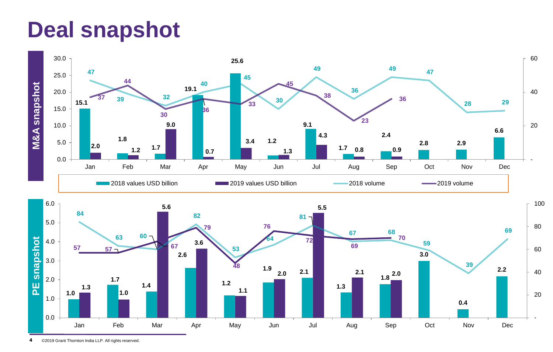# **Deal snapshot**





**4** ©2019 Grant Thornton India LLP. All rights reserved.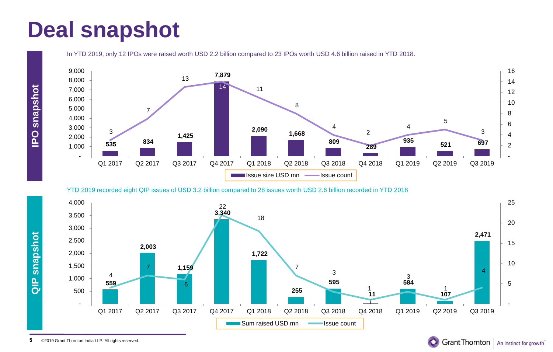# **Deal snapshot**

In YTD 2019, only 12 IPOs were raised worth USD 2.2 billion compared to 23 IPOs worth USD 4.6 billion raised in YTD 2018.



YTD 2019 recorded eight QIP issues of USD 3.2 billion compared to 28 issues worth USD 2.6 billion recorded in YTD 2018



Grant Thornton | An instinct for growth<sup>"</sup>

**QIP snapshot**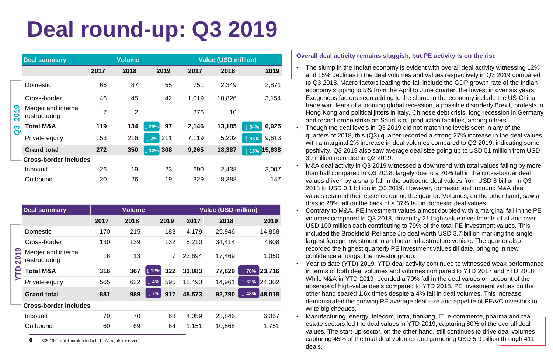# **Deal round-up: Q3 2019**

|                             | <b>Deal summary</b>                  | <b>Volume</b> |                | <b>Value (USD million)</b> |       |        |                          |
|-----------------------------|--------------------------------------|---------------|----------------|----------------------------|-------|--------|--------------------------|
|                             |                                      | 2017          | 2018           | 2019                       | 2017  | 2018   | 2019                     |
| တ<br>$\mathbf{S}$<br>က<br>Ø | <b>Domestic</b>                      | 66            | 87             | 55                         | 751   | 2.349  | 2.871                    |
|                             | Cross-border                         | 46            | 45             | 42                         | 1.019 | 10,826 | 3,154                    |
|                             | Merger and internal<br>restructuring | 7             | $\overline{2}$ |                            | 376   | 10     |                          |
|                             | Total M&A                            | 119           | 134            | 97<br>$\perp$ 28%          | 2,146 | 13,185 | 6,025<br>$\parallel$ 54% |
|                             | Private equity                       | 153           | 216            | 211<br>$\perp$ 2%          | 7,119 | 5,202  | 9,613<br>$\uparrow$ 85%  |
|                             | <b>Grand total</b>                   | 272           | 350            | 308<br>12%                 | 9,265 | 18,387 | 15,638<br>$\pm 15%$      |
|                             | <b>Cross-border includes</b>         |               |                |                            |       |        |                          |
|                             | Inbound                              | 26            | 19             | 23                         | 690   | 2,438  | 3,007                    |
|                             | Outbound                             | 20            | 26             | 19                         | 329   | 8.388  | 147                      |

|                               | <b>Deal summary</b>                  | <b>Volume</b> |      | <b>Value (USD million)</b> |        |        |                            |
|-------------------------------|--------------------------------------|---------------|------|----------------------------|--------|--------|----------------------------|
|                               |                                      | 2017          | 2018 | 2019                       | 2017   | 2018   | 2019                       |
| $\overline{\phantom{0}}$<br>႙ | Domestic                             | 170           | 215  | 183                        | 4.179  | 25,946 | 14,858                     |
|                               | Cross-border                         | 130           | 139  | 132                        | 5,210  | 34.414 | 7,808                      |
|                               | Merger and internal<br>restructuring | 16            | 13   | 7                          | 23,694 | 17,469 | 1,050                      |
|                               | Total M&A                            | 316           | 367  | 322<br>$\sqrt{12\%}$       | 33,083 | 77,829 | 23,716<br>$\perp$ 70%      |
|                               | Private equity                       | 565           | 622  | $\downarrow$ 4%<br>595     | 15.490 | 14.961 | 24.302<br>62%              |
|                               | <b>Grand total</b>                   | 881           | 989  | $\downarrow$ 7%<br>917     | 48,573 | 92,790 | $\downarrow$ 48%<br>48.018 |
|                               | Cross-border includes                |               |      |                            |        |        |                            |
|                               | Inbound                              | 70            | 70   | 68                         | 4.059  | 23.846 | 6,057                      |
|                               | Outbound                             | 60            | 69   | 64                         | 1.151  | 10,568 | 1.751                      |

**6** ©2019 Grant Thornton India LLP. All rights reserved.

### **Overall deal activity remains sluggish, but PE activity is on the rise**

- The slump in the Indian economy is evident with overall deal activity witnessing 12% and 15% declines in the deal volumes and values respectively in Q3 2019 compared to Q3 2018. Macro factors leading the fall include the GDP growth rate of the Indian economy slipping to 5% from the April to June quarter, the lowest in over six years. Exogenous factors seen adding to the slump in the economy include the US-China trade war, fears of a looming global recession, a possible disorderly Brexit, protests in Hong Kong and political jitters in Italy, Chinese debt crisis, long recession in Germany and recent drone strike on Saudi's oil production facilities, among others.
- Though the deal levels in Q3 2019 did not match the levels seen in any of the quarters of 2018, this (Q3) quarter recorded a strong 27% increase in the deal values with a marginal 2% increase in deal volumes compared to Q2 2019, indicating some positivity. Q3 2019 also saw average deal size going up to USD 51 million from USD 39 million recorded in Q2 2019.
- M&A deal activity in Q3 2019 witnessed a downtrend with total values falling by more than half compared to Q3 2018, largely due to a 70% fall in the cross-border deal values driven by a sharp fall in the outbound deal values from USD 8 billion in Q3 2018 to USD 0.1 billion in Q3 2019. However, domestic and inbound M&A deal values retained their essence during the quarter. Volumes, on the other hand, saw a drastic 28% fall on the back of a 37% fall in domestic deal values.
- Contrary to M&A, PE investment values almost doubled with a marginal fall in the PE volumes compared to Q3 2018, driven by 21 high-value investments of at and over USD 100 million each contributing to 79% of the total PE investment values. This included the Brookfield-Reliance Jio deal worth USD 3.7 billion marking the singlelargest foreign investment in an Indian infrastructure vehicle. The quarter also recorded the highest quarterly PE investment values till date, bringing in new confidence amongst the investor group.
- Year to date (YTD) 2019: YTD deal activity continued to witnessed weak performance in terms of both deal volumes and volumes compared to YTD 2017 and YTD 2018. While M&A in YTD 2019 recorded a 70% fall in the deal values on account of the absence of high-value deals compared to YTD 2018, PE investment values on the other hand soared 1.6x times despite a 4% fall in deal volumes. This increase demonstrated the growing PE average deal size and appetite of PE/VC investors to write big cheques.
- Manufacturing, energy, telecom, infra, banking, IT, e-commerce, pharma and real estate sectors led the deal values in YTD 2019, capturing 80% of the overall deal values. The start-up sector, on the other hand, still continues to drive deal volumes capturing 45% of the total deal volumes and garnering USD 5.9 billion through 411 deals.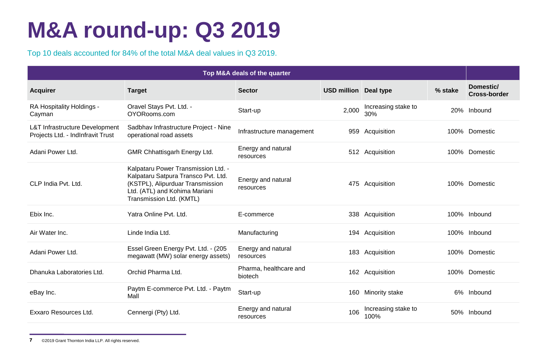# **M&A round-up: Q3 2019**

Top 10 deals accounted for 84% of the total M&A deal values in Q3 2019.

| Top M&A deals of the quarter                                                   |                                                                                                                                                                             |                                   |                              |                             |         |                                  |
|--------------------------------------------------------------------------------|-----------------------------------------------------------------------------------------------------------------------------------------------------------------------------|-----------------------------------|------------------------------|-----------------------------|---------|----------------------------------|
| <b>Acquirer</b>                                                                | <b>Target</b>                                                                                                                                                               | <b>Sector</b>                     | <b>USD million Deal type</b> |                             | % stake | Domestic/<br><b>Cross-border</b> |
| RA Hospitality Holdings -<br>Cayman                                            | Oravel Stays Pvt. Ltd. -<br>OYORooms.com                                                                                                                                    | Start-up                          | 2,000                        | Increasing stake to<br>30%  |         | 20% Inbound                      |
| <b>L&amp;T Infrastructure Development</b><br>Projects Ltd. - IndInfravit Trust | Sadbhav Infrastructure Project - Nine<br>operational road assets                                                                                                            | Infrastructure management         |                              | 959 Acquisition             |         | 100% Domestic                    |
| Adani Power Ltd.                                                               | GMR Chhattisgarh Energy Ltd.                                                                                                                                                | Energy and natural<br>resources   |                              | 512 Acquisition             |         | 100% Domestic                    |
| CLP India Pvt. Ltd.                                                            | Kalpataru Power Transmission Ltd. -<br>Kalpataru Satpura Transco Pvt. Ltd.<br>(KSTPL), Alipurduar Transmission<br>Ltd. (ATL) and Kohima Mariani<br>Transmission Ltd. (KMTL) | Energy and natural<br>resources   |                              | 475 Acquisition             |         | 100% Domestic                    |
| Ebix Inc.                                                                      | Yatra Online Pvt. Ltd.                                                                                                                                                      | E-commerce                        |                              | 338 Acquisition             |         | 100% Inbound                     |
| Air Water Inc.                                                                 | Linde India Ltd.                                                                                                                                                            | Manufacturing                     |                              | 194 Acquisition             |         | 100% Inbound                     |
| Adani Power Ltd.                                                               | Essel Green Energy Pvt. Ltd. - (205<br>megawatt (MW) solar energy assets)                                                                                                   | Energy and natural<br>resources   |                              | 183 Acquisition             |         | 100% Domestic                    |
| Dhanuka Laboratories Ltd.                                                      | Orchid Pharma Ltd.                                                                                                                                                          | Pharma, healthcare and<br>biotech |                              | 162 Acquisition             |         | 100% Domestic                    |
| eBay Inc.                                                                      | Paytm E-commerce Pvt. Ltd. - Paytm<br>Mall                                                                                                                                  | Start-up                          |                              | 160 Minority stake          |         | 6% Inbound                       |
| Exxaro Resources Ltd.                                                          | Cennergi (Pty) Ltd.                                                                                                                                                         | Energy and natural<br>resources   | 106                          | Increasing stake to<br>100% |         | 50% Inbound                      |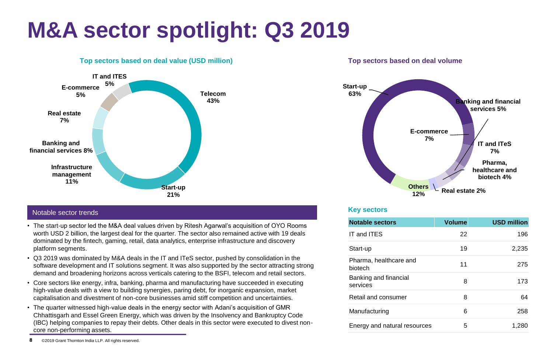# **M&A sector spotlight: Q3 2019**



### **Top sectors based on deal value (USD million) Top sectors based on deal volume**

# **Key sectors** Notable sector trends

- The start-up sector led the M&A deal values driven by Ritesh Agarwal's acquisition of OYO Rooms worth USD 2 billion, the largest deal for the quarter. The sector also remained active with 19 deals dominated by the fintech, gaming, retail, data analytics, enterprise infrastructure and discovery platform segments.
- Q3 2019 was dominated by M&A deals in the IT and ITeS sector, pushed by consolidation in the software development and IT solutions segment. It was also supported by the sector attracting strong demand and broadening horizons across verticals catering to the BSFI, telecom and retail sectors.
- Core sectors like energy, infra, banking, pharma and manufacturing have succeeded in executing high-value deals with a view to building synergies, paring debt, for inorganic expansion, market capitalisation and divestment of non-core businesses amid stiff competition and uncertainties.
- The quarter witnessed high-value deals in the energy sector with Adani's acquisition of GMR Chhattisgarh and Essel Green Energy, which was driven by the Insolvency and Bankruptcy Code (IBC) helping companies to repay their debts. Other deals in this sector were executed to divest noncore non-performing assets.



| <b>Notable sectors</b>            | <b>Volume</b> | <b>USD million</b> |
|-----------------------------------|---------------|--------------------|
| IT and ITES                       | 22            | 196                |
| Start-up                          | 19            | 2,235              |
| Pharma, healthcare and<br>biotech | 11            | 275                |
| Banking and financial<br>services | 8             | 173                |
| Retail and consumer               | 8             | 64                 |
| Manufacturing                     | 6             | 258                |
| Energy and natural resources      | 5             | 1,280              |

**<sup>8</sup>** ©2019 Grant Thornton India LLP. All rights reserved.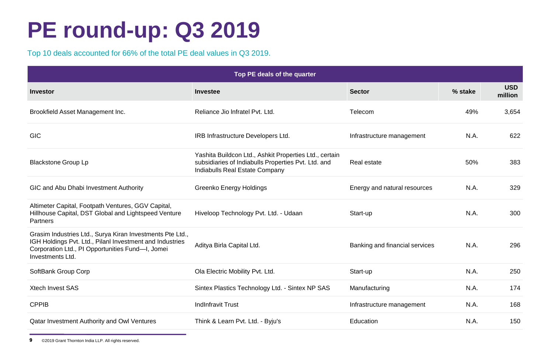# **PE round-up: Q3 2019**

Top 10 deals accounted for 66% of the total PE deal values in Q3 2019.

| Top PE deals of the quarter                                                                                                                                                                   |                                                                                                                                                 |                                |         |                       |  |  |
|-----------------------------------------------------------------------------------------------------------------------------------------------------------------------------------------------|-------------------------------------------------------------------------------------------------------------------------------------------------|--------------------------------|---------|-----------------------|--|--|
| <b>Investor</b>                                                                                                                                                                               | <b>Investee</b>                                                                                                                                 | <b>Sector</b>                  | % stake | <b>USD</b><br>million |  |  |
| Brookfield Asset Management Inc.                                                                                                                                                              | Reliance Jio Infratel Pvt. Ltd.                                                                                                                 | Telecom                        | 49%     | 3,654                 |  |  |
| <b>GIC</b>                                                                                                                                                                                    | IRB Infrastructure Developers Ltd.                                                                                                              | Infrastructure management      | N.A.    | 622                   |  |  |
| <b>Blackstone Group Lp</b>                                                                                                                                                                    | Yashita Buildcon Ltd., Ashkit Properties Ltd., certain<br>subsidiaries of Indiabulls Properties Pvt. Ltd. and<br>Indiabulls Real Estate Company | Real estate                    | 50%     | 383                   |  |  |
| GIC and Abu Dhabi Investment Authority                                                                                                                                                        | Greenko Energy Holdings                                                                                                                         | Energy and natural resources   | N.A.    | 329                   |  |  |
| Altimeter Capital, Footpath Ventures, GGV Capital,<br>Hillhouse Capital, DST Global and Lightspeed Venture<br><b>Partners</b>                                                                 | Hiveloop Technology Pvt. Ltd. - Udaan                                                                                                           | Start-up                       | N.A.    | 300                   |  |  |
| Grasim Industries Ltd., Surya Kiran Investments Pte Ltd.,<br>IGH Holdings Pvt. Ltd., Pilanl Investment and Industries<br>Corporation Ltd., PI Opportunities Fund-I, Jomei<br>Investments Ltd. | Aditya Birla Capital Ltd.                                                                                                                       | Banking and financial services | N.A.    | 296                   |  |  |
| SoftBank Group Corp                                                                                                                                                                           | Ola Electric Mobility Pvt. Ltd.                                                                                                                 | Start-up                       | N.A.    | 250                   |  |  |
| <b>Xtech Invest SAS</b>                                                                                                                                                                       | Sintex Plastics Technology Ltd. - Sintex NP SAS                                                                                                 | Manufacturing                  | N.A.    | 174                   |  |  |
| <b>CPPIB</b>                                                                                                                                                                                  | <b>Indinfravit Trust</b>                                                                                                                        | Infrastructure management      | N.A.    | 168                   |  |  |
| Qatar Investment Authority and Owl Ventures                                                                                                                                                   | Think & Learn Pvt. Ltd. - Byju's                                                                                                                | Education                      | N.A.    | 150                   |  |  |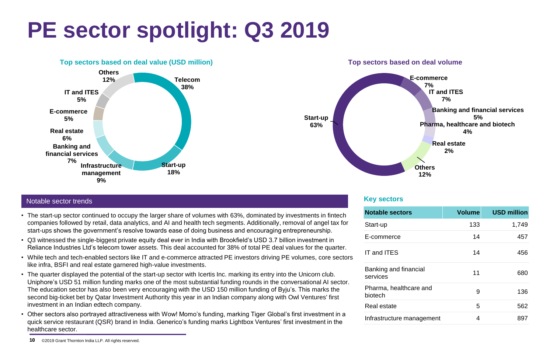# **PE sector spotlight: Q3 2019**





## **Key sectors** Notable sector trends

- The start-up sector continued to occupy the larger share of volumes with 63%, dominated by investments in fintech companies followed by retail, data analytics, and AI and health tech segments. Additionally, removal of angel tax for start-ups shows the government's resolve towards ease of doing business and encouraging entrepreneurship.
- Q3 witnessed the single-biggest private equity deal ever in India with Brookfield's USD 3.7 billion investment in Reliance Industries Ltd's telecom tower assets. This deal accounted for 38% of total PE deal values for the quarter.
- While tech and tech-enabled sectors like IT and e-commerce attracted PE investors driving PE volumes, core sectors like infra, BSFI and real estate garnered high-value investments.
- The quarter displayed the potential of the start-up sector with Icertis Inc. marking its entry into the Unicorn club. Uniphore's USD 51 million funding marks one of the most substantial funding rounds in the conversational AI sector. The education sector has also been very encouraging with the USD 150 million funding of Byju's. This marks the second big-ticket bet by Qatar Investment Authority this year in an Indian company along with Owl Ventures' first investment in an Indian edtech company.
- Other sectors also portrayed attractiveness with Wow! Momo's funding, marking Tiger Global's first investment in a quick service restaurant (QSR) brand in India. Generico's funding marks Lightbox Ventures' first investment in the healthcare sector.

| <b>Notable sectors</b>            | <b>Volume</b> | <b>USD million</b> |
|-----------------------------------|---------------|--------------------|
| Start-up                          | 133           | 1,749              |
| E-commerce                        | 14            | 457                |
| IT and ITES                       | 14            | 456                |
| Banking and financial<br>services | 11            | 680                |
| Pharma, healthcare and<br>biotech | 9             | 136                |
| Real estate                       | 5             | 562                |
| Infrastructure management         | 4             | 897                |

**<sup>10</sup>** ©2019 Grant Thornton India LLP. All rights reserved.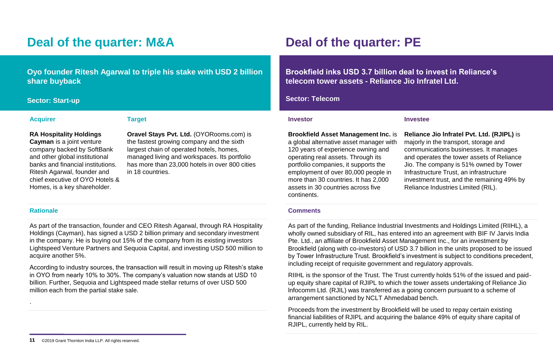# **Deal of the quarter: M&A Deal of the quarter: PE**

**Oyo founder Ritesh Agarwal to triple his stake with USD 2 billion share buyback**

### **Acquirer Target**

### **RA Hospitality Holdings**

**Cayman** is a joint venture company backed by SoftBank and other global institutional banks and financial institutions. Ritesh Agarwal, founder and chief executive of OYO Hotels & Homes, is a key shareholder.

**Oravel Stays Pvt. Ltd.** (OYORooms.com) is the fastest growing company and the sixth largest chain of operated hotels, homes, managed living and workspaces. Its portfolio has more than 23,000 hotels in over 800 cities in 18 countries.

### **Rationale**

.

As part of the transaction, founder and CEO Ritesh Agarwal, through RA Hospitality Holdings (Cayman), has signed a USD 2 billion primary and secondary investment in the company. He is buying out 15% of the company from its existing investors Lightspeed Venture Partners and Sequoia Capital, and investing USD 500 million to acquire another 5%.

According to industry sources, the transaction will result in moving up Ritesh's stake in OYO from nearly 10% to 30%. The company's valuation now stands at USD 10 billion. Further, Sequoia and Lightspeed made stellar returns of over USD 500 million each from the partial stake sale.

**Brookfield inks USD 3.7 billion deal to invest in Reliance's telecom tower assets - Reliance Jio Infratel Ltd.**

### **Sector: Start-up Sector: Telecom**

### **Investor Investee**

**Brookfield Asset Management Inc.** is a global alternative asset manager with 120 years of experience owning and operating real assets. Through its portfolio companies, it supports the employment of over 80,000 people in more than 30 countries. It has 2,000 assets in 30 countries across five continents.

**Reliance Jio lnfratel Pvt. Ltd. (RJIPL)** is majorly in the transport, storage and communications businesses. It manages and operates the tower assets of Reliance Jio. The company is 51% owned by Tower Infrastructure Trust, an infrastructure investment trust, and the remaining 49% by Reliance Industries Limited (RIL).

### **Comments**

As part of the funding, Reliance Industrial Investments and Holdings Limited (RIIHL), a wholly owned subsidiary of RIL, has entered into an agreement with BIF IV Jarvis India Pte. Ltd., an affiliate of Brookfield Asset Management Inc., for an investment by Brookfield (along with co-investors) of USD 3.7 billion in the units proposed to be issued by Tower Infrastructure Trust. Brookfield's investment is subject to conditions precedent, including receipt of requisite government and regulatory approvals.

RIIHL is the sponsor of the Trust. The Trust currently holds 51% of the issued and paidup equity share capital of RJIPL to which the tower assets undertaking of Reliance Jio lnfocomm Ltd. (RJIL) was transferred as a going concern pursuant to a scheme of arrangement sanctioned by NCLT Ahmedabad bench.

Proceeds from the investment by Brookfield will be used to repay certain existing financial liabilities of RJIPL and acquiring the balance 49% of equity share capital of RJIPL, currently held by RIL.

**<sup>11</sup>** ©2019 Grant Thornton India LLP. All rights reserved.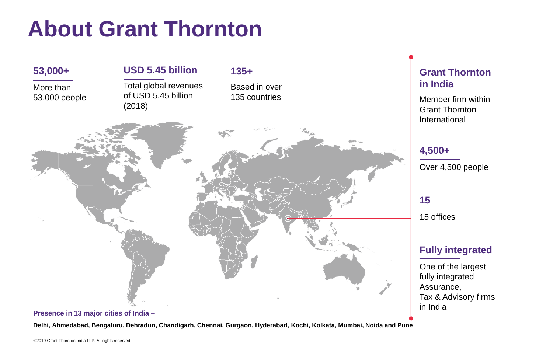# **About Grant Thornton**



### **Delhi, Ahmedabad, Bengaluru, Dehradun, Chandigarh, Chennai, Gurgaon, Hyderabad, Kochi, Kolkata, Mumbai, Noida and Pune**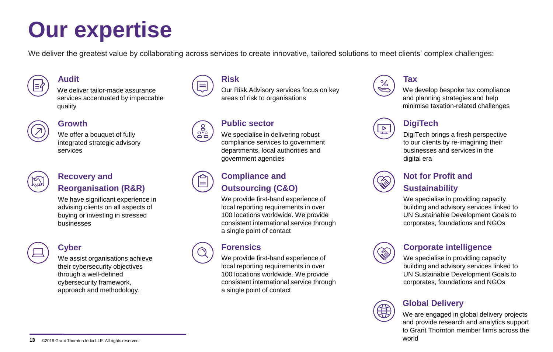# **Our expertise**

We deliver the greatest value by collaborating across services to create innovative, tailored solutions to meet clients' complex challenges:



## **Audit**

We deliver tailor-made assurance services accentuated by impeccable quality



## **Growth**

We offer a bouquet of fully integrated strategic advisory services



## **Recovery and Reorganisation (R&R)**

We have significant experience in advising clients on all aspects of buying or investing in stressed businesses



# **Cyber**

We assist organisations achieve their cybersecurity objectives through a well-defined cybersecurity framework, approach and methodology.



Our Risk Advisory services focus on key areas of risk to organisations

# ်ရွ<br>မိမိ

**Risk**

## **Public sector**

We specialise in delivering robust compliance services to government departments, local authorities and government agencies



# **Compliance and Outsourcing (C&O)**

We provide first-hand experience of local reporting requirements in over 100 locations worldwide. We provide consistent international service through a single point of contact

# **Forensics**

We provide first-hand experience of local reporting requirements in over 100 locations worldwide. We provide consistent international service through a single point of contact



# **Tax**

We develop bespoke tax compliance and planning strategies and help minimise taxation-related challenges



# **DigiTech**

DigiTech brings a fresh perspective to our clients by re-imagining their businesses and services in the digital era



# **Not for Profit and Sustainability**

We specialise in providing capacity building and advisory services linked to UN Sustainable Development Goals to corporates, foundations and NGOs



# **Corporate intelligence**

We specialise in providing capacity building and advisory services linked to UN Sustainable Development Goals to corporates, foundations and NGOs



# **Global Delivery**

We are engaged in global delivery projects and provide research and analytics support to Grant Thornton member firms across the world